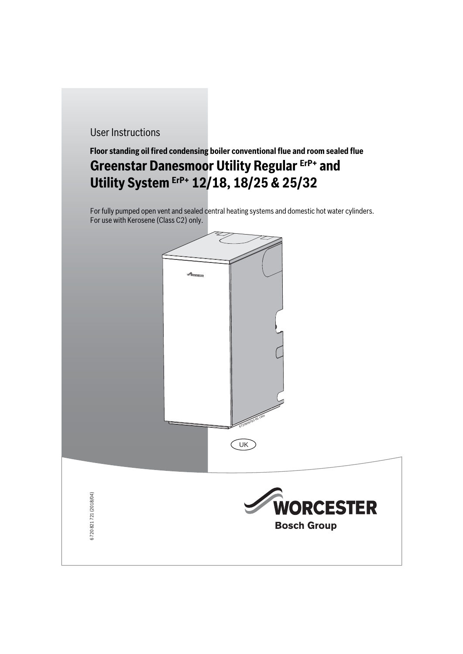# User Instructions

# **Floor standing oil fired condensing boiler conventional flue and room sealed flue Greenstar Danesmoor Utility Regular ErP+ and Utility System ErP+ 12/18, 18/25 & 25/32**

For fully pumped open vent and sealed central heating systems and domestic hot water cylinders. For use with Kerosene (Class C2) only.





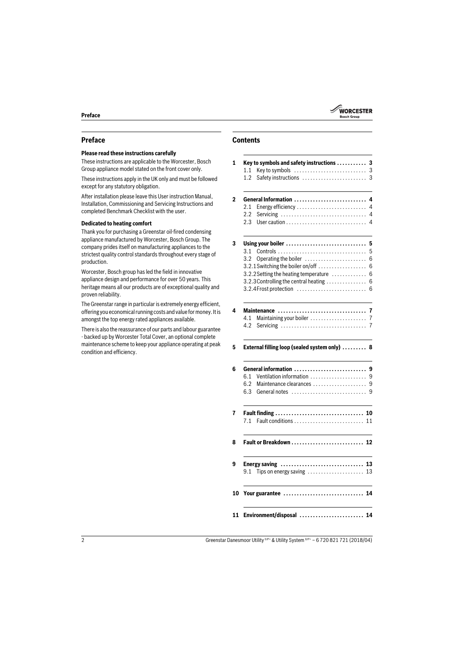

# **Preface**

#### **Please read these instructions carefully**

These instructions are applicable to the Worcester, Bosch Group appliance model stated on the front cover only.

These instructions apply in the UK only and must be followed except for any statutory obligation.

After installation please leave this User instruction Manual, Installation, Commissioning and Servicing Instructions and completed Benchmark Checklist with the user.

#### **Dedicated to heating comfort**

Thank you for purchasing a Greenstar oil-fired condensing appliance manufactured by Worcester, Bosch Group. The company prides itself on manufacturing appliances to the strictest quality control standards throughout every stage of production.

Worcester, Bosch group has led the field in innovative appliance design and performance for over 50 years. This heritage means all our products are of exceptional quality and proven reliability.

The Greenstar range in particular is extremely energy efficient, offering you economical running costs and value for money. It is amongst the top energy rated appliances available.

There is also the reassurance of our parts and labour guarantee - backed up by Worcester Total Cover, an optional complete maintenance scheme to keep your appliance operating at peak condition and efficiency.

# **Contents**

# **1 Key to symbols and safety instructions . . . . . . . . . . . 3** [1.1 Key to symbols . . . . . . . . . . . . . . . . . . . . . . . . . . . 3](#page-2-0) [1.2 Safety instructions . . . . . . . . . . . . . . . . . . . . . . . . 3](#page-2-1) **[2 General Information . . . . . . . . . . . . . . . . . . . . . . . . . . . 4](#page-3-0)** [2.1 Energy efficiency . . . . . . . . . . . . . . . . . . . . . . . . . . 4](#page-3-1) [2.2 Servicing . . . . . . . . . . . . . . . . . . . . . . . . . . . . . . . . 4](#page-3-2) [2.3 User caution . . . . . . . . . . . . . . . . . . . . . . . . . . . . . . 4](#page-3-3) **[3 Using your boiler . . . . . . . . . . . . . . . . . . . . . . . . . . . . . . 5](#page-4-0)** [3.1 Controls . . . . . . . . . . . . . . . . . . . . . . . . . . . . . . . . . 5](#page-4-1) [3.2 Operating the boiler . . . . . . . . . . . . . . . . . . . . . . . 6](#page-5-0) [3.2.1Switching the boiler on/off . . . . . . . . . . . . . . . . . . 6](#page-5-1) [3.2.2Setting the heating temperature . . . . . . . . . . . . . 6](#page-5-2) [3.2.3Controlling the central heating . . . . . . . . . . . . . . . 6](#page-5-3) [3.2.4Frost protection . . . . . . . . . . . . . . . . . . . . . . . . . . 6](#page-5-4) **[4 Maintenance . . . . . . . . . . . . . . . . . . . . . . . . . . . . . . . . . 7](#page-6-0)** [4.1 Maintaining your boiler . . . . . . . . . . . . . . . . . . . . . 7](#page-6-1) [4.2 Servicing . . . . . . . . . . . . . . . . . . . . . . . . . . . . . . . . 7](#page-6-2) **[5 External filling loop \(sealed system only\) . . . . . . . . . 8](#page-7-0) [6 General information . . . . . . . . . . . . . . . . . . . . . . . . . . . 9](#page-8-0)** [6.1 Ventilation information . . . . . . . . . . . . . . . . . . . . . 9](#page-8-1) [6.2 Maintenance clearances . . . . . . . . . . . . . . . . . . . . 9](#page-8-2) [6.3 General notes . . . . . . . . . . . . . . . . . . . . . . . . . . . . 9](#page-8-3) **[7 Fault finding . . . . . . . . . . . . . . . . . . . . . . . . . . . . . . . . . 10](#page-9-0)** [7.1 Fault conditions . . . . . . . . . . . . . . . . . . . . . . . . . . 11](#page-10-0) **[8 Fault or Breakdown . . . . . . . . . . . . . . . . . . . . . . . . . . . 12](#page-11-0) [9 Energy saving . . . . . . . . . . . . . . . . . . . . . . . . . . . . . . . 13](#page-12-0)**  $9.1$  Tips on energy saving  $\dots\dots\dots\dots\dots\dots$  13 **[10 Your guarantee . . . . . . . . . . . . . . . . . . . . . . . . . . . . . . 14](#page-13-0) [11 Environment/disposal . . . . . . . . . . . . . . . . . . . . . . . . 14](#page-13-1)**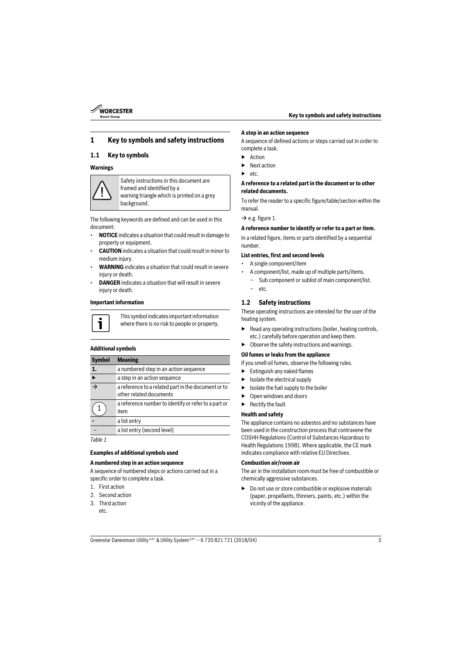

# **1 Key to symbols and safety instructions**

# <span id="page-2-0"></span>**1.1 Key to symbols**

#### **Warnings**



Safety instructions in this document are framed and identified by a warning triangle which is printed on a grey background.

The following keywords are defined and can be used in this document:

- **NOTICE** indicates a situation that could result in damage to property or equipment.
- **CAUTION** indicates a situation that could result in minor to medium injury.
- **WARNING** indicates a situation that could result in severe injury or death.
- **DANGER** indicates a situation that will result in severe injury or death.

#### **Important information**



This symbol indicates important information where there is no risk to people or property.

### **Additional symbols**

| <b>Symbol</b>            | <b>Meaning</b>                                                                 |
|--------------------------|--------------------------------------------------------------------------------|
| 1.                       | a numbered step in an action sequence                                          |
|                          | a step in an action sequence                                                   |
| $\overline{\rightarrow}$ | a reference to a related part in the document or to<br>other related documents |
|                          | a reference number to identify or refer to a part or<br>item                   |
|                          | a list entry                                                                   |
|                          | a list entry (second level)                                                    |

*Table 1*

#### **Examples of additional symbols used**

#### **A numbered step in an action sequence**

A sequence of numbered steps or actions carried out in a specific order to complete a task.

- 1. First action
- 2. Second action
- 3. Third action etc.

#### **A step in an action sequence**

A sequence of defined actions or steps carried out in order to complete a task.

- **Action**
- Next action
- $etc.$

#### **A reference to a related part in the document or to other related documents.**

To refer the reader to a specific figure/table/section within the manual.

 $\rightarrow$  e.g. figure 1.

#### **A reference number to identify or refer to a part or item.**

In a related figure, items or parts identified by a sequential number.

#### **List entries, first and second levels**

- A single component/item
- A component/list, made up of multiple parts/items.
	- Sub component or sublist of main component/list.
	- etc.

## <span id="page-2-1"></span>**1.2 Safety instructions**

These operating instructions are intended for the user of the heating system.

- $\blacktriangleright$  Read any operating instructions (boiler, heating controls, etc.) carefully before operation and keep them.
- $\triangleright$  Observe the safety instructions and warnings.

#### **Oil fumes or leaks from the appliance**

If you smell oil fumes, observe the following rules.

- $\blacktriangleright$  Extinguish any naked flames
- $\blacktriangleright$  Isolate the electrical supply
- $\blacktriangleright$  Isolate the fuel supply to the boiler
- Open windows and doors
- ▶ Rectify the fault

#### **Health and safety**

The appliance contains no asbestos and no substances have been used in the construction process that contravene the COSHH Regulations (Control of Substances Hazardous to Health Regulations 1998). Where applicable, the CE mark indicates compliance with relative EU Directives.

#### **Combustion air/room air**

The air in the installation room must be free of combustible or chemically aggressive substances.

 $\blacktriangleright$  Do not use or store combustible or explosive materials (paper, propellants, thinners, paints, etc.) within the vicinity of the appliance.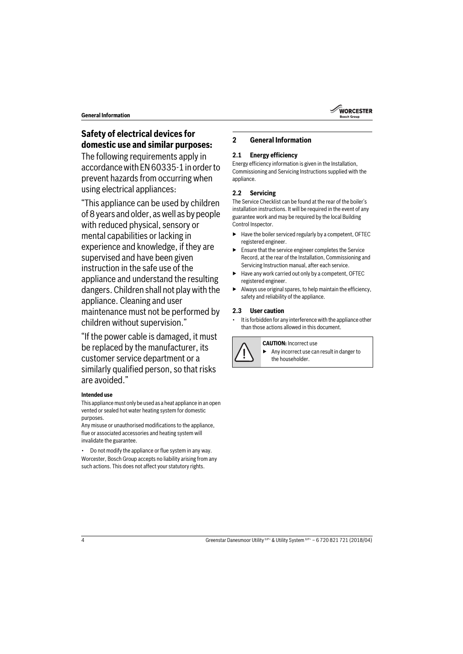# **Safety of electrical devices for domestic use and similar purposes:**

The following requirements apply in accordance with EN 60335-1 in order to prevent hazards from occurring when using electrical appliances:

"This appliance can be used by children of 8 years and older, as well as by people with reduced physical, sensory or mental capabilities or lacking in experience and knowledge, if they are supervised and have been given instruction in the safe use of the appliance and understand the resulting dangers. Children shall not play with the appliance. Cleaning and user maintenance must not be performed by children without supervision."

"If the power cable is damaged, it must be replaced by the manufacturer, its customer service department or a similarly qualified person, so that risks are avoided."

# **Intended use**

This appliance must only be used as a heat appliance in an open vented or sealed hot water heating system for domestic purposes.

Any misuse or unauthorised modifications to the appliance, flue or associated accessories and heating system will invalidate the guarantee.

• Do not modify the appliance or flue system in any way.

Worcester, Bosch Group accepts no liability arising from any such actions. This does not affect your statutory rights.

# <span id="page-3-0"></span>**2 General Information**

# <span id="page-3-1"></span>**2.1 Energy efficiency**

Energy efficiency information is given in the Installation, Commissioning and Servicing Instructions supplied with the appliance.

# <span id="page-3-2"></span>**2.2 Servicing**

The Service Checklist can be found at the rear of the boiler's installation instructions. It will be required in the event of any guarantee work and may be required by the local Building Control Inspector.

- $\blacktriangleright$  Have the boiler serviced regularly by a competent, OFTEC registered engineer.
- Ensure that the service engineer completes the Service Record, at the rear of the Installation, Commissioning and Servicing Instruction manual, after each service.
- Have any work carried out only by a competent, OFTEC registered engineer.
- $\blacktriangleright$  Always use original spares, to help maintain the efficiency, safety and reliability of the appliance.

# <span id="page-3-3"></span>**2.3 User caution**

It is forbidden for any interference with the appliance other than those actions allowed in this document.



#### **CAUTION:** Incorrect use

▶ Any incorrect use can result in danger to the householder.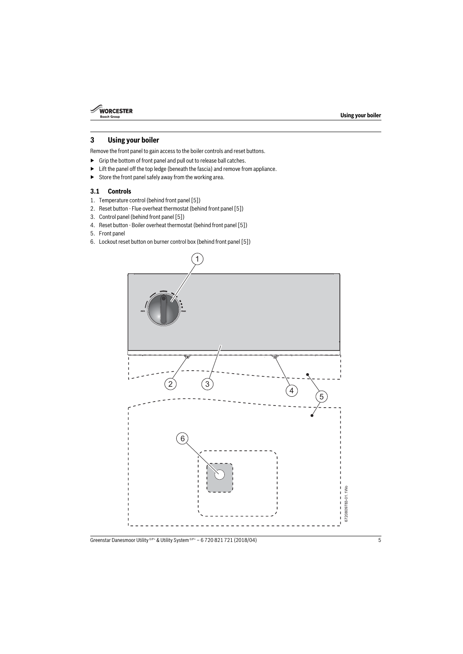

# <span id="page-4-0"></span>**3 Using your boiler**

Remove the front panel to gain access to the boiler controls and reset buttons.

- ▶ Grip the bottom of front panel and pull out to release ball catches.
- $\blacktriangleright$  Lift the panel off the top ledge (beneath the fascia) and remove from appliance.
- $\triangleright$  Store the front panel safely away from the working area.

# <span id="page-4-1"></span>**3.1 Controls**

- 1. Temperature control (behind front panel [5])
- 2. Reset button Flue overheat thermostat (behind front panel [5])
- 3. Control panel (behind front panel [5])
- 4. Reset button Boiler overheat thermostat (behind front panel [5])
- 5. Front panel
- 6. Lockout reset button on burner control box (behind front panel [5])

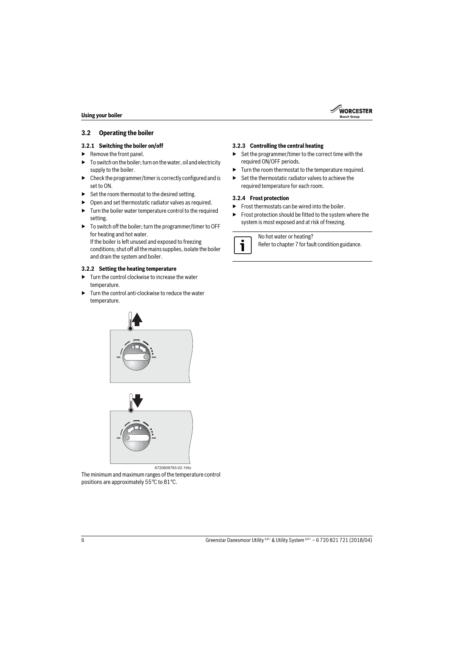## <span id="page-5-0"></span>**3.2 Operating the boiler**

### <span id="page-5-1"></span>**3.2.1 Switching the boiler on/off**

- ▶ Remove the front panel.
- $\triangleright$  To switch on the boiler; turn on the water, oil and electricity supply to the boiler.
- $\triangleright$  Check the programmer/timer is correctly configured and is set to ON.
- $\triangleright$  Set the room thermostat to the desired setting.
- $\triangleright$  Open and set thermostatic radiator valves as required.
- $\blacktriangleright$  Turn the boiler water temperature control to the required setting.
- $\triangleright$  To switch off the boiler; turn the programmer/timer to OFF for heating and hot water.

If the boiler is left unused and exposed to freezing conditions; shut off all the mains supplies, isolate the boiler and drain the system and boiler.

## <span id="page-5-2"></span>**3.2.2 Setting the heating temperature**

- $\blacktriangleright$  Turn the control clockwise to increase the water temperature.
- $\blacktriangleright$  Turn the control anti-clockwise to reduce the water temperature.





6720809783-02.1Wo

The minimum and maximum ranges of the temperature control positions are approximately 55°C to 81°C.

# <span id="page-5-3"></span>**3.2.3 Controlling the central heating**

 $\triangleright$  Set the programmer/timer to the correct time with the required ON/OFF periods.

**WORCESTER Rocch Croup** 

- ▶ Turn the room thermostat to the temperature required.
- ▶ Set the thermostatic radiator valves to achieve the required temperature for each room.

### <span id="page-5-4"></span>**3.2.4 Frost protection**

- Frost thermostats can be wired into the boiler.
- ▶ Frost protection should be fitted to the system where the system is most exposed and at risk of freezing.

No hot water or heating?

Refer to chapter 7 for fault condition guidance.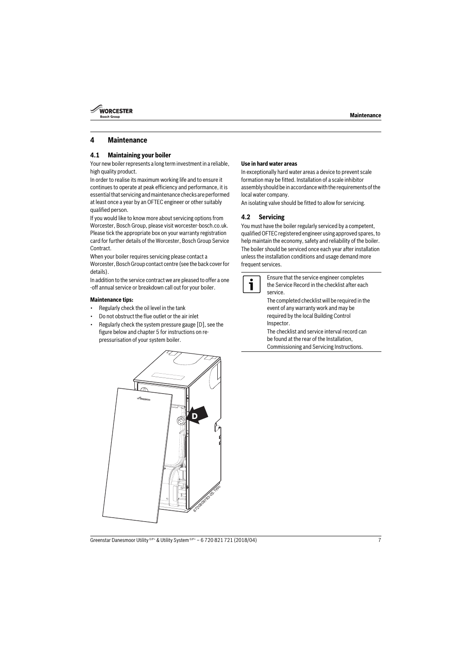

# <span id="page-6-0"></span>**4 Maintenance**

### <span id="page-6-1"></span>**4.1 Maintaining your boiler**

Your new boiler represents a long term investment in a reliable, high quality product.

In order to realise its maximum working life and to ensure it continues to operate at peak efficiency and performance, it is essential that servicing and maintenance checks are performed at least once a year by an OFTEC engineer or other suitably qualified person.

If you would like to know more about servicing options from Worcester, Bosch Group, please visit worcester-bosch.co.uk. Please tick the appropriate box on your warranty registration card for further details of the Worcester, Bosch Group Service Contract.

When your boiler requires servicing please contact a Worcester, Bosch Group contact centre (see the back cover for details).

In addition to the service contract we are pleased to offer a one -off annual service or breakdown call out for your boiler.

#### **Maintenance tips:**

- Regularly check the oil level in the tank
- Do not obstruct the flue outlet or the air inlet
- Regularly check the system pressure gauge [D], see the figure below and chapte[r 5](#page-7-0) for instructions on repressurisation of your system boiler.

# **Use in hard water areas**

In exceptionally hard water areas a device to prevent scale formation may be fitted. Installation of a scale inhibitor assembly should be in accordance with the requirements of the local water company.

An isolating valve should be fitted to allow for servicing.

## <span id="page-6-2"></span>**4.2 Servicing**

You must have the boiler regularly serviced by a competent, qualified OFTEC registered engineer using approved spares, to help maintain the economy, safety and reliability of the boiler. The boiler should be serviced once each year after installation unless the installation conditions and usage demand more frequent services.



Ensure that the service engineer completes the Service Record in the checklist after each service.

The completed checklist will be required in the event of any warranty work and may be required by the local Building Control Inspector.

The checklist and service interval record can be found at the rear of the Installation, Commissioning and Servicing Instructions.

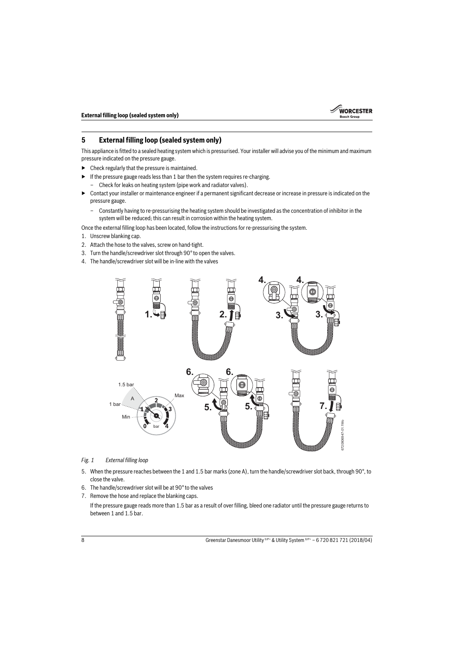

# <span id="page-7-0"></span>**5 External filling loop (sealed system only)**

This appliance is fitted to a sealed heating system which is pressurised. Your installer will advise you of the minimum and maximum pressure indicated on the pressure gauge.

- $\blacktriangleright$  Check regularly that the pressure is maintained.
- $\blacktriangleright$  If the pressure gauge reads less than 1 bar then the system requires re-charging.
	- Check for leaks on heating system (pipe work and radiator valves).
- ▶ Contact your installer or maintenance engineer if a permanent significant decrease or increase in pressure is indicated on the pressure gauge.
	- Constantly having to re-pressurising the heating system should be investigated as the concentration of inhibitor in the system will be reduced; this can result in corrosion within the heating system.

Once the external filling loop has been located, follow the instructions for re-pressurising the system.

- 1. Unscrew blanking cap.
- 2. Attach the hose to the valves, screw on hand-tight.
- 3. Turn the handle/screwdriver slot through 90° to open the valves.
- 4. The handle/screwdriver slot will be in-line with the valves



#### <span id="page-7-1"></span>*Fig. 1 External filling loop*

- 5. When the pressure reaches between the 1 and 1.5 bar marks (zone A), turn the handle/screwdriver slot back, through 90°, to close the valve.
- 6. The handle/screwdriver slot will be at 90° to the valves
- 7. Remove the hose and replace the blanking caps.

If the pressure gauge reads more than 1.5 bar as a result of over filling, bleed one radiator until the pressure gauge returns to between 1 and 1.5 bar.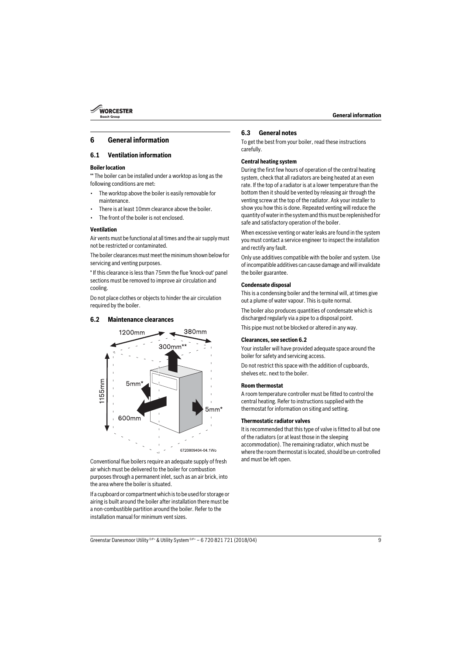

# <span id="page-8-0"></span>**6 General information**

### <span id="page-8-1"></span>**6.1 Ventilation information**

#### **Boiler location**

\*\* The boiler can be installed under a worktop as long as the following conditions are met:

- The worktop above the boiler is easily removable for maintenance.
- There is at least 10mm clearance above the boiler
- The front of the boiler is not enclosed.

#### **Ventilation**

Air vents must be functional at all times and the air supply must not be restricted or contaminated.

The boiler clearances must meet the minimum shown below for servicing and venting purposes.

\* If this clearance is less than 75mm the flue 'knock-out' panel sections must be removed to improve air circulation and cooling.

Do not place clothes or objects to hinder the air circulation required by the boiler.

#### <span id="page-8-2"></span>**6.2 Maintenance clearances**



Conventional flue boilers require an adequate supply of fresh air which must be delivered to the boiler for combustion purposes through a permanent inlet, such as an air brick, into the area where the boiler is situated.

If a cupboard or compartment which is to be used for storage or airing is built around the boiler after installation there must be a non-combustible partition around the boiler. Refer to the installation manual for minimum vent sizes.

### <span id="page-8-3"></span>**6.3 General notes**

To get the best from your boiler, read these instructions carefully.

#### **Central heating system**

During the first few hours of operation of the central heating system, check that all radiators are being heated at an even rate. If the top of a radiator is at a lower temperature than the bottom then it should be vented by releasing air through the venting screw at the top of the radiator. Ask your installer to show you how this is done. Repeated venting will reduce the quantity of water in the system and this must be replenished for safe and satisfactory operation of the boiler.

When excessive venting or water leaks are found in the system you must contact a service engineer to inspect the installation and rectify any fault.

Only use additives compatible with the boiler and system. Use of incompatible additives can cause damage and will invalidate the boiler guarantee.

#### **Condensate disposal**

This is a condensing boiler and the terminal will, at times give out a plume of water vapour. This is quite normal.

The boiler also produces quantities of condensate which is discharged regularly via a pipe to a disposal point.

This pipe must not be blocked or altered in any way.

#### **Clearances, see section [6.2](#page-8-2)**

Your installer will have provided adequate space around the boiler for safety and servicing access.

Do not restrict this space with the addition of cupboards, shelves etc. next to the boiler

#### **Room thermostat**

A room temperature controller must be fitted to control the central heating. Refer to instructions supplied with the thermostat for information on siting and setting.

#### **Thermostatic radiator valves**

It is recommended that this type of valve is fitted to all but one of the radiators (or at least those in the sleeping accommodation). The remaining radiator, which must be where the room thermostat is located, should be un-controlled and must be left open.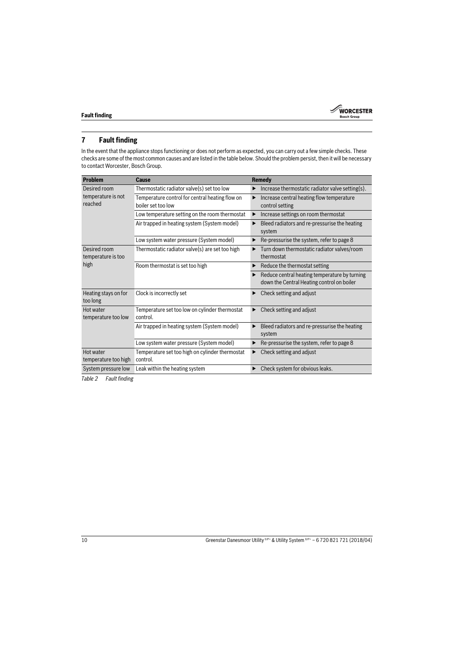

# <span id="page-9-0"></span>**7 Fault finding**

In the event that the appliance stops functioning or does not perform as expected, you can carry out a few simple checks. These checks are some of the most common causes and are listed in the table below. Should the problem persist, then it will be necessary to contact Worcester, Bosch Group.

| <b>Problem</b>                                | Cause                                                                 | Remedy                                                                                      |
|-----------------------------------------------|-----------------------------------------------------------------------|---------------------------------------------------------------------------------------------|
| Desired room<br>temperature is not<br>reached | Thermostatic radiator valve(s) set too low                            | Increase thermostatic radiator valve setting(s).<br>▶                                       |
|                                               | Temperature control for central heating flow on<br>boiler set too low | Increase central heating flow temperature<br>▶<br>control setting                           |
|                                               | Low temperature setting on the room thermostat                        | Increase settings on room thermostat<br>▶                                                   |
|                                               | Air trapped in heating system (System model)                          | Bleed radiators and re-pressurise the heating<br>▶<br>system                                |
|                                               | Low system water pressure (System model)                              | Re-pressurise the system, refer to page 8<br>▶                                              |
| Desired room<br>temperature is too<br>high    | Thermostatic radiator valve(s) are set too high                       | Turn down thermostatic radiator valves/room<br>thermostat                                   |
|                                               | Room thermostat is set too high                                       | Reduce the thermostat setting<br>▶                                                          |
|                                               |                                                                       | Reduce central heating temperature by turning<br>down the Central Heating control on boiler |
| Heating stays on for<br>too long              | Clock is incorrectly set                                              | Check setting and adjust<br>▶                                                               |
| Hot water<br>temperature too low              | Temperature set too low on cylinder thermostat<br>control.            | Check setting and adjust<br>▶                                                               |
|                                               | Air trapped in heating system (System model)                          | Bleed radiators and re-pressurise the heating<br>system                                     |
|                                               | Low system water pressure (System model)                              | Re-pressurise the system, refer to page 8<br>▶                                              |
| Hot water<br>temperature too high             | Temperature set too high on cylinder thermostat<br>control.           | Check setting and adjust<br>▶                                                               |
| System pressure low                           | Leak within the heating system                                        | Check system for obvious leaks.<br>▶                                                        |

*Table 2 Fault finding*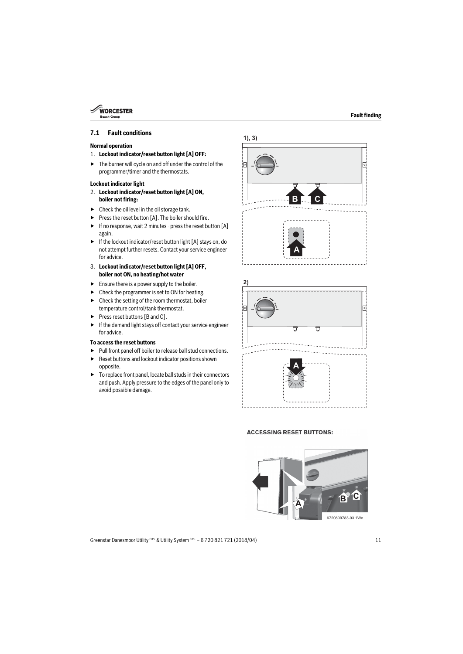

### <span id="page-10-0"></span>**7.1 Fault conditions**

#### **Normal operation**

- 1. **Lockout indicator/reset button light [A] OFF:**
- $\blacktriangleright$  The burner will cycle on and off under the control of the programmer/timer and the thermostats.

#### **Lockout indicator light**

- 2. **Lockout indicator/reset button light [A] ON, boiler not firing:**
- $\blacktriangleright$  Check the oil level in the oil storage tank.
- ▶ Press the reset button [A]. The boiler should fire.
- ▶ If no response, wait 2 minutes press the reset button [A] again.
- $\blacktriangleright$  If the lockout indicator/reset button light [A] stays on, do not attempt further resets. Contact your service engineer for advice.
- 3. **Lockout indicator/reset button light [A] OFF, boiler not ON, no heating/hot water**
- $\blacktriangleright$  Ensure there is a power supply to the boiler.
- $\triangleright$  Check the programmer is set to ON for heating.
- $\blacktriangleright$  Check the setting of the room thermostat, boiler temperature control/tank thermostat.
- ▶ Press reset buttons [B and C].
- $\blacktriangleright$  If the demand light stays off contact your service engineer for advice.

#### **To access the reset buttons**

- $\blacktriangleright$  Pull front panel off boiler to release ball stud connections.
- Reset buttons and lockout indicator positions shown opposite.
- $\blacktriangleright$  To replace front panel, locate ball studs in their connectors and push. Apply pressure to the edges of the panel only to avoid possible damage.





#### **ACCESSING RESET BUTTONS:**

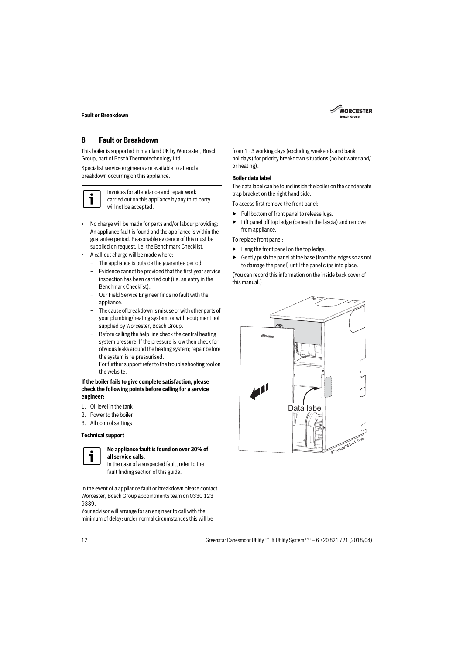

# <span id="page-11-0"></span>**8 Fault or Breakdown**

This boiler is supported in mainland UK by Worcester, Bosch Group, part of Bosch Thermotechnology Ltd.

Specialist service engineers are available to attend a breakdown occurring on this appliance.



Invoices for attendance and repair work carried out on this appliance by any third party will not be accepted.

- No charge will be made for parts and/or labour providing: An appliance fault is found and the appliance is within the guarantee period. Reasonable evidence of this must be supplied on request. i.e. the Benchmark Checklist.
- A call-out charge will be made where:
	- The appliance is outside the guarantee period.
	- Evidence cannot be provided that the first year service inspection has been carried out (i.e. an entry in the Benchmark Checklist).
	- Our Field Service Engineer finds no fault with the appliance.
	- The cause of breakdown is misuse or with other parts of your plumbing/heating system, or with equipment not supplied by Worcester, Bosch Group.
	- Before calling the help line check the central heating system pressure. If the pressure is low then check for obvious leaks around the heating system; repair before the system is re-pressurised.

For further support refer to the trouble shooting tool on the website.

#### **If the boiler fails to give complete satisfaction, please check the following points before calling for a service engineer:**

- 1. Oil level in the tank
- 2. Power to the boiler
- 3. All control settings

#### **Technical support**



#### **No appliance fault is found on over 30% of all service calls.**

In the case of a suspected fault, refer to the fault finding section of this guide.

In the event of a appliance fault or breakdown please contact Worcester, Bosch Group appointments team on 0330 123 9339.

Your advisor will arrange for an engineer to call with the minimum of delay; under normal circumstances this will be from 1 - 3 working days (excluding weekends and bank holidays) for priority breakdown situations (no hot water and/ or heating).

#### **Boiler data label**

The data label can be found inside the boiler on the condensate trap bracket on the right hand side.

To access first remove the front panel:

- ▶ Pull bottom of front panel to release lugs.
- $\blacktriangleright$  Lift panel off top ledge (beneath the fascia) and remove from appliance.

To replace front panel:

- $\blacktriangleright$  Hang the front panel on the top ledge.
- $\triangleright$  Gently push the panel at the base (from the edges so as not to damage the panel) until the panel clips into place.

(You can record this information on the inside back cover of this manual.)

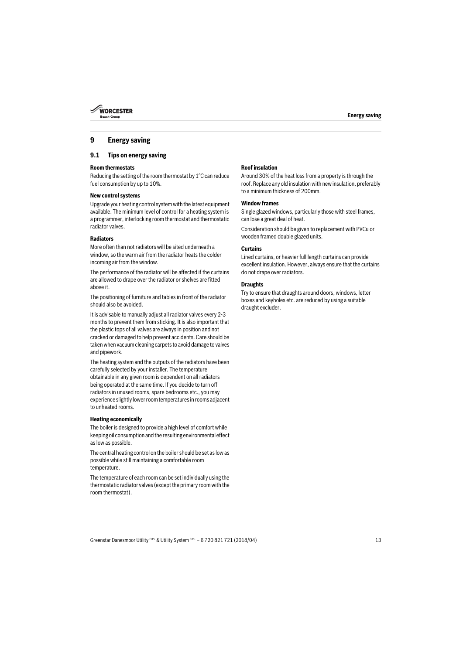

# <span id="page-12-0"></span>**9 Energy saving**

# <span id="page-12-1"></span>**9.1 Tips on energy saving**

# **Room thermostats**

Reducing the setting of the room thermostat by 1°C can reduce fuel consumption by up to 10%.

# **New control systems**

Upgrade your heating control system with the latest equipment available. The minimum level of control for a heating system is a programmer, interlocking room thermostat and thermostatic radiator valves.

# **Radiators**

More often than not radiators will be sited underneath a window, so the warm air from the radiator heats the colder incoming air from the window.

The performance of the radiator will be affected if the curtains are allowed to drape over the radiator or shelves are fitted above it.

The positioning of furniture and tables in front of the radiator should also be avoided.

It is advisable to manually adjust all radiator valves every 2-3 months to prevent them from sticking. It is also important that the plastic tops of all valves are always in position and not cracked or damaged to help prevent accidents. Care should be taken when vacuum cleaning carpets to avoid damage to valves and pipework.

The heating system and the outputs of the radiators have been carefully selected by your installer. The temperature obtainable in any given room is dependent on all radiators being operated at the same time. If you decide to turn off radiators in unused rooms, spare bedrooms etc., you may experience slightly lower room temperatures in rooms adjacent to unheated rooms.

## **Heating economically**

The boiler is designed to provide a high level of comfort while keeping oil consumption and the resulting environmental effect as low as possible.

The central heating control on the boiler should be set as low as possible while still maintaining a comfortable room temperature.

The temperature of each room can be set individually using the thermostatic radiator valves (except the primary room with the room thermostat).

# **Roof insulation**

Around 30% of the heat loss from a property is through the roof. Replace any old insulation with new insulation, preferably to a minimum thickness of 200mm.

# **Window frames**

Single glazed windows, particularly those with steel frames, can lose a great deal of heat.

Consideration should be given to replacement with PVCu or wooden framed double glazed units.

#### **Curtains**

Lined curtains, or heavier full length curtains can provide excellent insulation. However, always ensure that the curtains do not drape over radiators.

#### **Draughts**

Try to ensure that draughts around doors, windows, letter boxes and keyholes etc. are reduced by using a suitable draught excluder.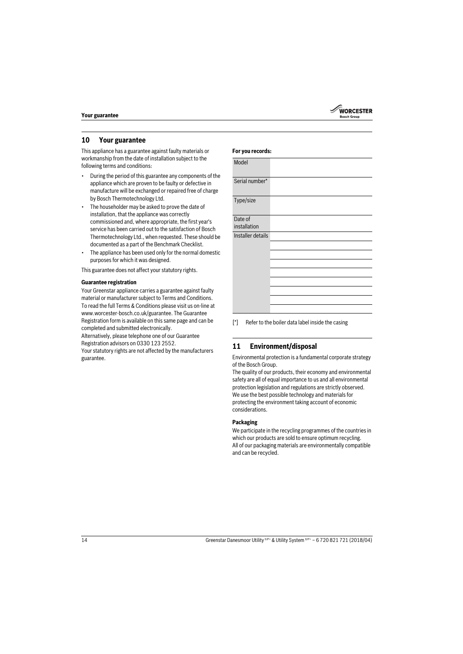

# <span id="page-13-0"></span>**10 Your guarantee**

This appliance has a guarantee against faulty materials or workmanship from the date of installation subject to the following terms and conditions:

- During the period of this guarantee any components of the appliance which are proven to be faulty or defective in manufacture will be exchanged or repaired free of charge by Bosch Thermotechnology Ltd.
- The householder may be asked to prove the date of installation, that the appliance was correctly commissioned and, where appropriate, the first year's service has been carried out to the satisfaction of Bosch Thermotechnology Ltd., when requested. These should be documented as a part of the Benchmark Checklist.
- The appliance has been used only for the normal domestic purposes for which it was designed.

This guarantee does not affect your statutory rights.

#### **Guarantee registration**

Your Greenstar appliance carries a guarantee against faulty material or manufacturer subject to Terms and Conditions. To read the full Terms & Conditions please visit us on-line at www.worcester-bosch.co.uk/guarantee. The Guarantee Registration form is available on this same page and can be completed and submitted electronically.

Alternatively, please telephone one of our Guarantee Registration advisors on 0330 123 2552.

Your statutory rights are not affected by the manufacturers guarantee.

| For you records:        |                                               |  |
|-------------------------|-----------------------------------------------|--|
| Model                   |                                               |  |
| Serial number*          |                                               |  |
| Type/size               |                                               |  |
| Date of<br>installation |                                               |  |
| Installer details       |                                               |  |
|                         |                                               |  |
|                         |                                               |  |
|                         |                                               |  |
|                         |                                               |  |
| r*1                     | Defects the holler detailed inside the cosing |  |

 $\mathbb{P}$  Refer to the boiler data label inside the casing

## <span id="page-13-1"></span>**11 Environment/disposal**

Environmental protection is a fundamental corporate strategy of the Bosch Group.

The quality of our products, their economy and environmental safety are all of equal importance to us and all environmental protection legislation and regulations are strictly observed. We use the best possible technology and materials for protecting the environment taking account of economic considerations.

### **Packaging**

We participate in the recycling programmes of the countries in which our products are sold to ensure optimum recycling. All of our packaging materials are environmentally compatible and can be recycled.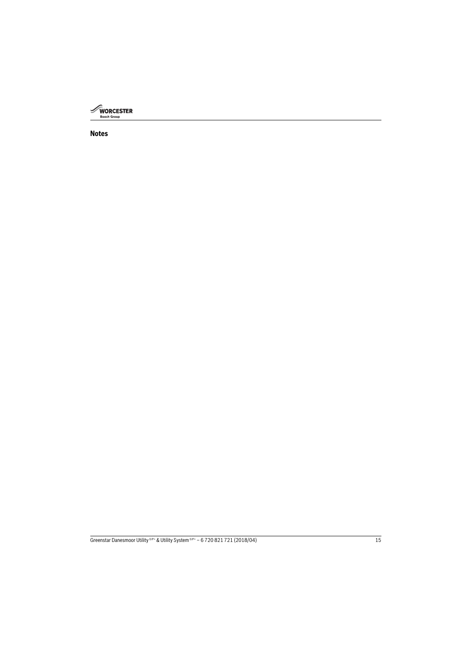

# **Notes**